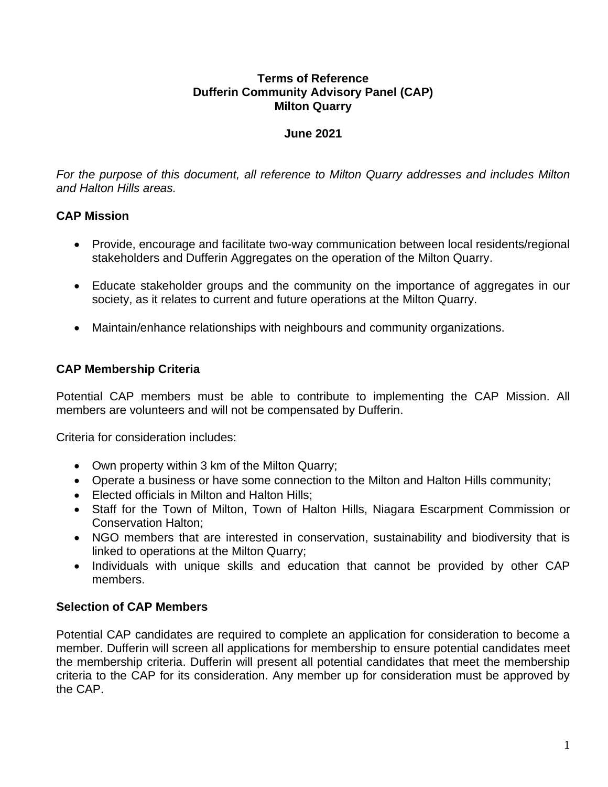#### **Terms of Reference Dufferin Community Advisory Panel (CAP) Milton Quarry**

#### **June 2021**

*For the purpose of this document, all reference to Milton Quarry addresses and includes Milton and Halton Hills areas.*

## **CAP Mission**

- Provide, encourage and facilitate two-way communication between local residents/regional stakeholders and Dufferin Aggregates on the operation of the Milton Quarry.
- Educate stakeholder groups and the community on the importance of aggregates in our society, as it relates to current and future operations at the Milton Quarry.
- Maintain/enhance relationships with neighbours and community organizations.

## **CAP Membership Criteria**

Potential CAP members must be able to contribute to implementing the CAP Mission. All members are volunteers and will not be compensated by Dufferin.

Criteria for consideration includes:

- Own property within 3 km of the Milton Quarry;
- Operate a business or have some connection to the Milton and Halton Hills community;
- Elected officials in Milton and Halton Hills;
- Staff for the Town of Milton, Town of Halton Hills, Niagara Escarpment Commission or Conservation Halton;
- NGO members that are interested in conservation, sustainability and biodiversity that is linked to operations at the Milton Quarry;
- Individuals with unique skills and education that cannot be provided by other CAP members.

# **Selection of CAP Members**

Potential CAP candidates are required to complete an application for consideration to become a member. Dufferin will screen all applications for membership to ensure potential candidates meet the membership criteria. Dufferin will present all potential candidates that meet the membership criteria to the CAP for its consideration. Any member up for consideration must be approved by the CAP.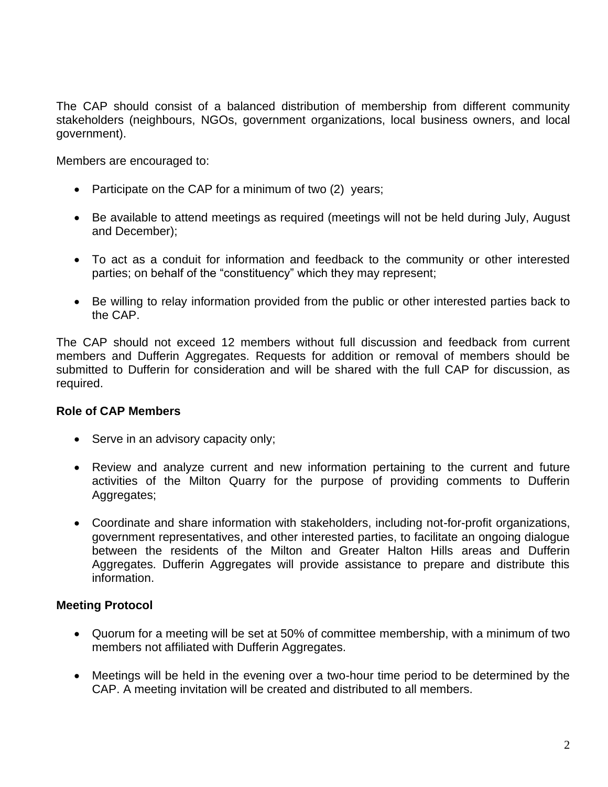The CAP should consist of a balanced distribution of membership from different community stakeholders (neighbours, NGOs, government organizations, local business owners, and local government).

Members are encouraged to:

- Participate on the CAP for a minimum of two (2) years;
- Be available to attend meetings as required (meetings will not be held during July, August and December);
- To act as a conduit for information and feedback to the community or other interested parties; on behalf of the "constituency" which they may represent;
- Be willing to relay information provided from the public or other interested parties back to the CAP.

The CAP should not exceed 12 members without full discussion and feedback from current members and Dufferin Aggregates. Requests for addition or removal of members should be submitted to Dufferin for consideration and will be shared with the full CAP for discussion, as required.

## **Role of CAP Members**

- Serve in an advisory capacity only;
- Review and analyze current and new information pertaining to the current and future activities of the Milton Quarry for the purpose of providing comments to Dufferin Aggregates;
- Coordinate and share information with stakeholders, including not-for-profit organizations, government representatives, and other interested parties, to facilitate an ongoing dialogue between the residents of the Milton and Greater Halton Hills areas and Dufferin Aggregates. Dufferin Aggregates will provide assistance to prepare and distribute this information.

## **Meeting Protocol**

- Quorum for a meeting will be set at 50% of committee membership, with a minimum of two members not affiliated with Dufferin Aggregates.
- Meetings will be held in the evening over a two-hour time period to be determined by the CAP. A meeting invitation will be created and distributed to all members.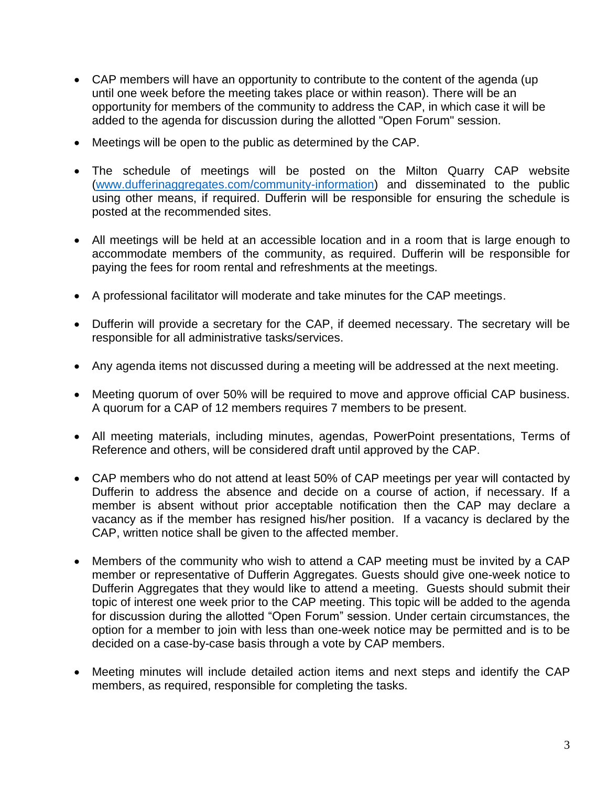- CAP members will have an opportunity to contribute to the content of the agenda (up until one week before the meeting takes place or within reason). There will be an opportunity for members of the community to address the CAP, in which case it will be added to the agenda for discussion during the allotted "Open Forum" session.
- Meetings will be open to the public as determined by the CAP.
- The schedule of meetings will be posted on the Milton Quarry CAP website [\(www.dufferinaggregates.com/community-information\)](http://www.dufferinaggregates.com/community-information) and disseminated to the public using other means, if required. Dufferin will be responsible for ensuring the schedule is posted at the recommended sites.
- All meetings will be held at an accessible location and in a room that is large enough to accommodate members of the community, as required. Dufferin will be responsible for paying the fees for room rental and refreshments at the meetings.
- A professional facilitator will moderate and take minutes for the CAP meetings.
- Dufferin will provide a secretary for the CAP, if deemed necessary. The secretary will be responsible for all administrative tasks/services.
- Any agenda items not discussed during a meeting will be addressed at the next meeting.
- Meeting quorum of over 50% will be required to move and approve official CAP business. A quorum for a CAP of 12 members requires 7 members to be present.
- All meeting materials, including minutes, agendas, PowerPoint presentations, Terms of Reference and others, will be considered draft until approved by the CAP.
- CAP members who do not attend at least 50% of CAP meetings per year will contacted by Dufferin to address the absence and decide on a course of action, if necessary. If a member is absent without prior acceptable notification then the CAP may declare a vacancy as if the member has resigned his/her position. If a vacancy is declared by the CAP, written notice shall be given to the affected member.
- Members of the community who wish to attend a CAP meeting must be invited by a CAP member or representative of Dufferin Aggregates. Guests should give one-week notice to Dufferin Aggregates that they would like to attend a meeting. Guests should submit their topic of interest one week prior to the CAP meeting. This topic will be added to the agenda for discussion during the allotted "Open Forum" session. Under certain circumstances, the option for a member to join with less than one-week notice may be permitted and is to be decided on a case-by-case basis through a vote by CAP members.
- Meeting minutes will include detailed action items and next steps and identify the CAP members, as required, responsible for completing the tasks.